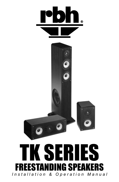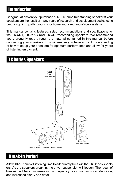## Introduction

Congratulations on your purchase of RBH Sound freestanding speakers! Your speakers are the result of many years of research and development dedicated to producing high quality products for home audio and audio/video systems.

This manual contains features, setup recommendations and specifications for the **TK-5CT, TK-515C and TK-5C** freestanding speakers. We recommend you thoroughly read through the material contained in this manual before connecting your speakers. This will ensure you have a good understanding of how to setup your speakers for optimum performance and allow for years of listening enjoyment.

# TK Series Speakers



### Break-in Period

Allow 10-15 hours of listening time to adequately break-in the TK Series speakers. As the speakers break-in, the driver suspension will loosen. The result of break-in will be an increase in low frequency response, improved definition, and increased clarity and detail.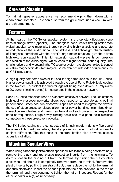### Care and Cleaning

To maintain speaker appearance, we recommend wiping them down with a clean damp soft cloth. To clean dust from the grille cloth, use a vacuum with a brush attachment.

### Features

At the heart of the TK Series speaker system is a proprietary fiberglass cone bass/midrange driver (speaker). The fiberglass cone resists flexing better than typical speaker cone materials, thereby providing highly articulate and accurate reproduction of the audio signal. The stiffness and lightweight characteristics of fiberglass, combined with the driver's large motor structure, give the drivers high excursion capability. This high excursion capability prevents compression or distortion of the audio signal, which leads to higher overall sound quality. The smaller drivers and tweeters in the TK speaker system are video shielded to cancel any stray magnetic fields which may cause interference with video equipment such as CRT televisions.

A high quality soft dome tweeter is used for high frequencies in the TK Series. Higher power handling is achieved through the use of Ferro Fluid® liquid cooling in the tweeter. To protect the tweeter against being over driven, a Polyswitch (a DC current limiting device) is incorporated in the crossover network.

Each TK Series model features an extensive crossover network. The use of these high quality crossover networks allows each speaker to operate at its optimal performance. Steep acoustic crossover slopes are used to integrate the drivers; the use of steep crossover slopes allow higher power handling, minimizes driver interaction irregularities, and maximizes the ability of each driver in their respective band of frequencies. Large 5-way binding posts ensure a good, solid electrical connection to these crossover networks.

The TK Series cabinets are constructed of ¾-inch medium density fiberboard because of its inert properties, thereby preventing sound coloration due to cabinet diffraction. The thickness of the front baffles also prevents excess acoustic radiation.

# Attaching Speaker Wires

When using a banana jack to attach speaker wires to the binding post terminals, remove the black and red plastic protective inserts from the terminals. To do this, loosen the binding nut from the terminal by turning the nut counterclockwise until the nut is completely removed from the terminal. Remove the plastic inserts by pulling them straight out, then replace the nut to the terminal and turn clockwise. Insert the banana jack into the hole provided in the top of the terminal, and then continue to tighten the nut until secure. Repeat for the other speaker wire(s) as necessary.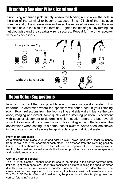## Attaching Speaker Wires (continued)

If not using a banana jack, simply loosen the binding nut to allow the hole in the side of the terminal to become exposed. Strip ¼-inch of the insulation from the end of the speaker wire and insert the exposed wire end into the now exposed hole in the side of the terminal. Tighten the binding nut by turning the nut clockwise until the speaker wire is secured. Repeat for the other speaker wire(s) as necessary.



# Room Setup Suggestions

In order to extract the best possible sound from your speaker system, it is important to determine where the speakers will sound best in your listening room. Room reflections from the floor, ceiling and side walls influence the balance, imaging and overall sonic quality at the listening position. Experiment with speaker placement to determine which location offers the best overall sound. As a general guide, use the room layout diagram and the following the descriptions when setting up a home theater system. Some speakers shown in the diagram may not always be applicable to your individual system.

#### **Front Main Speakers**

As a starting point, place your left and right TK-5CT Tower Speakers at least 15 inches from the wall and 7 feet apart from each other. The distance from the listening position to each speaker should be close to the distance that separates the two main speakers. Angling the speakers inward towards the listening position may give a more spacious and realistic sound stage.

#### **Center Channel Speaker**

The TK-515C Center Channel Speaker should be placed in the center between both left and right main speakers. Often this positioning dictates placing the speaker either directly above or below a television monitor. Since the TK-515C is video shielded, the center speaker may be placed in close proximity to a television without cause for concern. The TK-515C Center Channel Speaker may be placed in a horizontal (lying down) or vertical (standing) position.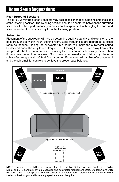# Room Setup Suggestions

#### **Rear Surround Speakers**

The TK-5C 2-way Bookshelf Speakers may be placed either above, behind or to the sides of the listening position. The listening position should be centered between the surround speakers. For best performance you may want to experiment with angling the surround speakers either towards or away from the listening position.

#### **Subwoofer**

Placement of the subwoofer will largely determine quality, quantity, and extension of the bass frequencies within your listening room. Bass frequencies are reinforced by close room boundaries. Placing the subwoofer in a corner will make the subwoofer sound louder and boost the very lowest frequencies. Placing the subwoofer away from walls will provide the least reinforcement, making the bass sound subjectively thinner than if the woofer were close to a wall. Good results can usually be obtained by placing a subwoofer along a wall 1-3 feet from a corner. Experiment with subwoofer placement and the sub-amplifier controls to achieve the proper bass balance.



NOTE: There are several different surround formats available. Dolby Pro-Logic, Pro-Logic II, Dolby Digital and DTS generally have a 5 speaker plus subwoofer requirement. Dolby Digital EX and DTS ES add a center rear speaker. Please consult your audio/video professional to determine which system is best for you and how many speakers you will require.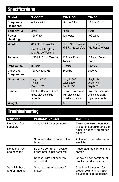# **Specifications**

| <b>Model</b>                     | <b>TK-5CT</b>                                                      | <b>TK-515C</b>                                                       | <b>TK-5C</b>                                                     |
|----------------------------------|--------------------------------------------------------------------|----------------------------------------------------------------------|------------------------------------------------------------------|
| Frequency<br>Response:           | $45Hz - 20Hz$                                                      | $60$ Hz $-20$ Hz                                                     | $60$ Hz $-20$ Hz                                                 |
| Sensitivity:                     | 87dB                                                               | 89dB                                                                 | 86dB                                                             |
| Power<br>Handling:               | 150 Watts                                                          | 120 Watts                                                            | 100 Watts                                                        |
| Woofer:                          | 8" Kraft Pulp Woofer<br>Dual 51/4" Fiberglass<br>Mid-Range Woofers | Dual 5 <sup>1</sup> / <sub>4</sub> " Fiberglass<br>Mid-Range Woofers | 51/4" Fiberglass<br>Mid-Range Woofer                             |
| Tweeter:                         | 1" Fabric Dome Tweeter                                             | 1" Fabric Dome<br>Tweeter                                            | 1" Fabric Dome<br>Tweeter                                        |
| Impedance:                       | 8 Ohms                                                             | 8 Ohms                                                               | 8 Ohms                                                           |
| <b>Crossover</b><br>Frequencies: | 120Hz / 3000 Hz                                                    | 3000 Hz                                                              | 3000 Hz                                                          |
| Dimensions:                      | Height: 42.5"<br>Width: 11"<br>Depth: 131/4"                       | Height: $7\frac{1}{8}$ "<br>Width: 20%"<br>Depth: 81/2"              | Height: 12%"<br>Width: 71%"<br>Depth: 81/2"                      |
| Finish:                          | Black or Rosewood with<br>gloss black top/side<br>accents          | <b>Black or Rosewood</b><br>with gloss black<br>top/side accents     | <b>Black or Rosewood</b><br>with gloss black<br>top/side accents |
| Weight:                          | 40                                                                 | 17                                                                   | 11                                                               |

# Troubleshooting

| <b>Situation:</b>                  | <b>Probable Cause:</b>                                    | <b>Solution:</b>                                                                                     |  |
|------------------------------------|-----------------------------------------------------------|------------------------------------------------------------------------------------------------------|--|
| No sound from<br>speakers          | Speaker wire not connected                                | Make sure wire is connected<br>at both the speaker and the<br>amplifier observing proper<br>polarity |  |
|                                    | Speaker selector on amplifier<br>is not on                | Activate proper selector on<br>amplifier                                                             |  |
| No sound from<br>one speaker       | Balance control on receiver<br>or pre-amp is not centered | Place balance control in the<br>center                                                               |  |
|                                    | Speaker wire not securely<br>connected                    | Check all connections at<br>amplifier and speakers                                                   |  |
| Very little bass<br>and/or imaging | Speakers are wired out of<br>phase                        | Check entire system for<br>proper polarity and make<br>adjustments as necessary                      |  |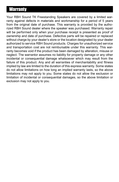## **Warranty**

Your RBH Sound TK Freestanding Speakers are covered by a limited warranty against defects in materials and workmanship for a period of 5 years from the original date of purchase. This warranty is provided by the authorized RBH Sound dealer where the speaker was purchased. Warranty repair will be performed only when your purchase receipt is presented as proof of ownership and date of purchase. Defective parts will be repaired or replaced without charge by your dealer's store or the location designated by your dealer authorized to service RBH Sound products. Charges for unauthorized service and transportation cost are not reimbursable under this warranty. This warranty becomes void if the product has been damaged by alteration, misuse or neglect. The warrantor assumes no liability for property damage or any other incidental or consequential damage whatsoever which may result from the failure of this product. Any and all warranties of merchantability and fitness implied by law are limited to the duration of this express warranty. Some states do not allow limitations on how long an implied warranty lasts, so the above limitations may not apply to you. Some states do not allow the exclusion or limitation of incidental or consequential damages, so the above limitation or exclusion may not apply to you.